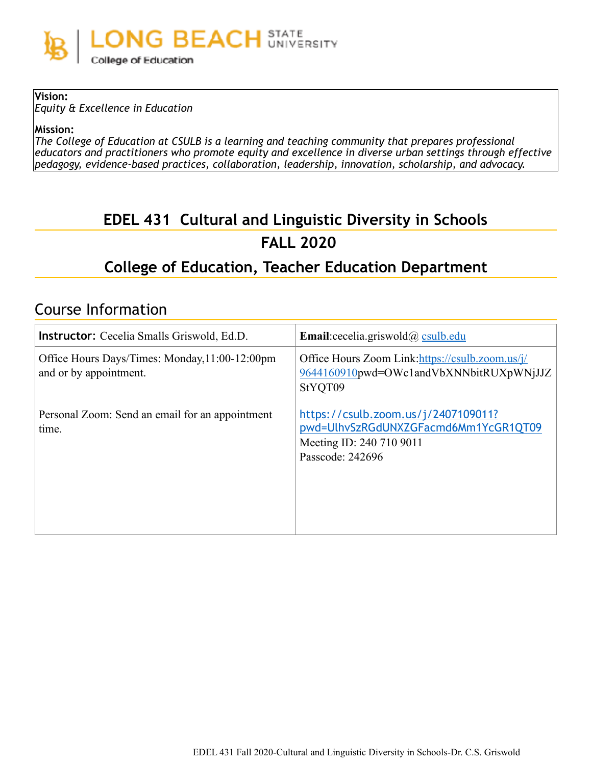

**Vision:**  *Equity & Excellence in Education* 

**Mission:** 

*The College of Education at CSULB is a learning and teaching community that prepares professional educators and practitioners who promote equity and excellence in diverse urban settings through effective pedagogy, evidence-based practices, collaboration, leadership, innovation, scholarship, and advocacy.* 

# **EDEL 431 Cultural and Linguistic Diversity in Schools FALL 2020**

## **College of Education, Teacher Education Department**

## Course Information

| <b>Instructor:</b> Cecelia Smalls Griswold, Ed.D.                        | <b>Email:</b> cecelia.griswold $\omega$ csulb.edu                                                                           |  |
|--------------------------------------------------------------------------|-----------------------------------------------------------------------------------------------------------------------------|--|
| Office Hours Days/Times: Monday, 11:00-12:00pm<br>and or by appointment. | Office Hours Zoom Link: https://csulb.zoom.us/j/<br>9644160910pwd=OWc1andVbXNNbitRUXpWNjJJZ<br>StYQT09                      |  |
| Personal Zoom: Send an email for an appointment<br>time.                 | https://csulb.zoom.us/j/2407109011?<br>pwd=UlhvSzRGdUNXZGFacmd6Mm1YcGR1QT09<br>Meeting ID: 240 710 9011<br>Passcode: 242696 |  |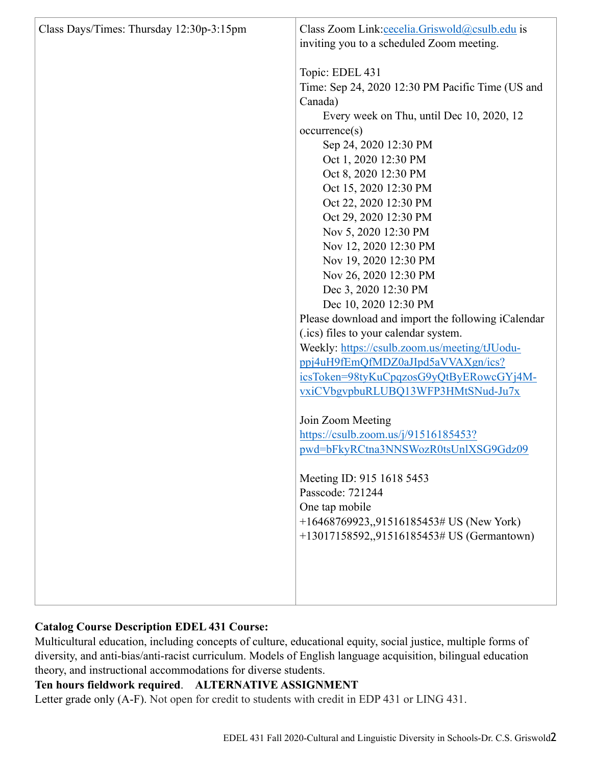| Class Days/Times: Thursday 12:30p-3:15pm | Class Zoom Link: cecelia. Griswold@csulb.edu is<br>inviting you to a scheduled Zoom meeting.<br>Topic: EDEL 431<br>Time: Sep 24, 2020 12:30 PM Pacific Time (US and<br>Canada)<br>Every week on Thu, until Dec 10, 2020, 12<br>occurrence(s)<br>Sep 24, 2020 12:30 PM<br>Oct 1, 2020 12:30 PM<br>Oct 8, 2020 12:30 PM<br>Oct 15, 2020 12:30 PM<br>Oct 22, 2020 12:30 PM<br>Oct 29, 2020 12:30 PM<br>Nov 5, 2020 12:30 PM<br>Nov 12, 2020 12:30 PM<br>Nov 19, 2020 12:30 PM<br>Nov 26, 2020 12:30 PM<br>Dec 3, 2020 12:30 PM<br>Dec 10, 2020 12:30 PM<br>Please download and import the following iCalendar<br>(.ics) files to your calendar system.<br>Weekly: https://csulb.zoom.us/meeting/tJUodu-<br>ppj4uH9fEmQfMDZ0aJIpd5aVVAXgn/ics?<br>icsToken=98tyKuCpqzosG9yQtByERowcGYj4M- |  |
|------------------------------------------|---------------------------------------------------------------------------------------------------------------------------------------------------------------------------------------------------------------------------------------------------------------------------------------------------------------------------------------------------------------------------------------------------------------------------------------------------------------------------------------------------------------------------------------------------------------------------------------------------------------------------------------------------------------------------------------------------------------------------------------------------------------------------------------|--|
|                                          |                                                                                                                                                                                                                                                                                                                                                                                                                                                                                                                                                                                                                                                                                                                                                                                       |  |
|                                          |                                                                                                                                                                                                                                                                                                                                                                                                                                                                                                                                                                                                                                                                                                                                                                                       |  |
|                                          |                                                                                                                                                                                                                                                                                                                                                                                                                                                                                                                                                                                                                                                                                                                                                                                       |  |
|                                          |                                                                                                                                                                                                                                                                                                                                                                                                                                                                                                                                                                                                                                                                                                                                                                                       |  |
|                                          |                                                                                                                                                                                                                                                                                                                                                                                                                                                                                                                                                                                                                                                                                                                                                                                       |  |
|                                          |                                                                                                                                                                                                                                                                                                                                                                                                                                                                                                                                                                                                                                                                                                                                                                                       |  |
|                                          |                                                                                                                                                                                                                                                                                                                                                                                                                                                                                                                                                                                                                                                                                                                                                                                       |  |
|                                          |                                                                                                                                                                                                                                                                                                                                                                                                                                                                                                                                                                                                                                                                                                                                                                                       |  |
|                                          |                                                                                                                                                                                                                                                                                                                                                                                                                                                                                                                                                                                                                                                                                                                                                                                       |  |
|                                          | vxiCVbgvpbuRLUBQ13WFP3HMtSNud-Ju7x                                                                                                                                                                                                                                                                                                                                                                                                                                                                                                                                                                                                                                                                                                                                                    |  |
|                                          | Join Zoom Meeting                                                                                                                                                                                                                                                                                                                                                                                                                                                                                                                                                                                                                                                                                                                                                                     |  |
|                                          | https://csulb.zoom.us/j/91516185453?                                                                                                                                                                                                                                                                                                                                                                                                                                                                                                                                                                                                                                                                                                                                                  |  |
|                                          | pwd=bFkyRCtna3NNSWozR0tsUnlXSG9Gdz09                                                                                                                                                                                                                                                                                                                                                                                                                                                                                                                                                                                                                                                                                                                                                  |  |
|                                          | Meeting ID: 915 1618 5453                                                                                                                                                                                                                                                                                                                                                                                                                                                                                                                                                                                                                                                                                                                                                             |  |
|                                          | Passcode: 721244                                                                                                                                                                                                                                                                                                                                                                                                                                                                                                                                                                                                                                                                                                                                                                      |  |
|                                          | One tap mobile                                                                                                                                                                                                                                                                                                                                                                                                                                                                                                                                                                                                                                                                                                                                                                        |  |
|                                          | +16468769923,,91516185453# US (New York)<br>+13017158592,,91516185453# US (Germantown)                                                                                                                                                                                                                                                                                                                                                                                                                                                                                                                                                                                                                                                                                                |  |
|                                          |                                                                                                                                                                                                                                                                                                                                                                                                                                                                                                                                                                                                                                                                                                                                                                                       |  |
|                                          |                                                                                                                                                                                                                                                                                                                                                                                                                                                                                                                                                                                                                                                                                                                                                                                       |  |
|                                          |                                                                                                                                                                                                                                                                                                                                                                                                                                                                                                                                                                                                                                                                                                                                                                                       |  |
|                                          |                                                                                                                                                                                                                                                                                                                                                                                                                                                                                                                                                                                                                                                                                                                                                                                       |  |

## **Catalog Course Description EDEL 431 Course:**

Multicultural education, including concepts of culture, educational equity, social justice, multiple forms of diversity, and anti-bias/anti-racist curriculum. Models of English language acquisition, bilingual education theory, and instructional accommodations for diverse students.

## **Ten hours fieldwork required**. **ALTERNATIVE ASSIGNMENT**

Letter grade only (A-F). Not open for credit to students with credit in EDP 431 or LING 431.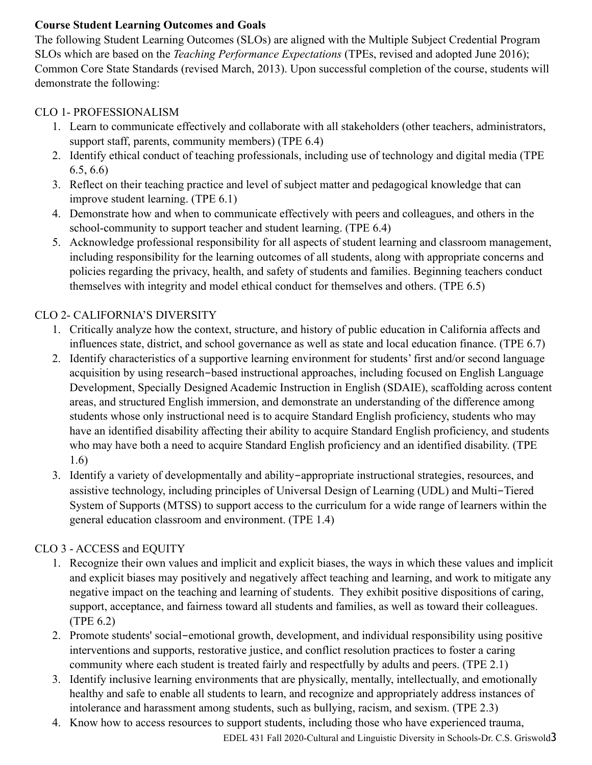## **Course Student Learning Outcomes and Goals**

The following Student Learning Outcomes (SLOs) are aligned with the Multiple Subject Credential Program SLOs which are based on the *Teaching Performance Expectations* (TPEs, revised and adopted June 2016); Common Core State Standards (revised March, 2013). Upon successful completion of the course, students will demonstrate the following:

## CLO 1- PROFESSIONALISM

- 1. Learn to communicate effectively and collaborate with all stakeholders (other teachers, administrators, support staff, parents, community members) (TPE 6.4)
- 2. Identify ethical conduct of teaching professionals, including use of technology and digital media (TPE 6.5, 6.6)
- 3. Reflect on their teaching practice and level of subject matter and pedagogical knowledge that can improve student learning. (TPE 6.1)
- 4. Demonstrate how and when to communicate effectively with peers and colleagues, and others in the school-community to support teacher and student learning. (TPE 6.4)
- 5. Acknowledge professional responsibility for all aspects of student learning and classroom management, including responsibility for the learning outcomes of all students, along with appropriate concerns and policies regarding the privacy, health, and safety of students and families. Beginning teachers conduct themselves with integrity and model ethical conduct for themselves and others. (TPE 6.5)

## CLO 2- CALIFORNIA'S DIVERSITY

- 1. Critically analyze how the context, structure, and history of public education in California affects and influences state, district, and school governance as well as state and local education finance. (TPE 6.7)
- 2. Identify characteristics of a supportive learning environment for students' first and/or second language acquisition by using research-based instructional approaches, including focused on English Language Development, Specially Designed Academic Instruction in English (SDAIE), scaffolding across content areas, and structured English immersion, and demonstrate an understanding of the difference among students whose only instructional need is to acquire Standard English proficiency, students who may have an identified disability affecting their ability to acquire Standard English proficiency, and students who may have both a need to acquire Standard English proficiency and an identified disability. (TPE 1.6)
- 3. Identify a variety of developmentally and ability-appropriate instructional strategies, resources, and assistive technology, including principles of Universal Design of Learning (UDL) and Multi-Tiered System of Supports (MTSS) to support access to the curriculum for a wide range of learners within the general education classroom and environment. (TPE 1.4)

## CLO 3 - ACCESS and EQUITY

- 1. Recognize their own values and implicit and explicit biases, the ways in which these values and implicit and explicit biases may positively and negatively affect teaching and learning, and work to mitigate any negative impact on the teaching and learning of students. They exhibit positive dispositions of caring, support, acceptance, and fairness toward all students and families, as well as toward their colleagues. (TPE 6.2)
- 2. Promote students' social-emotional growth, development, and individual responsibility using positive interventions and supports, restorative justice, and conflict resolution practices to foster a caring community where each student is treated fairly and respectfully by adults and peers. (TPE 2.1)
- 3. Identify inclusive learning environments that are physically, mentally, intellectually, and emotionally healthy and safe to enable all students to learn, and recognize and appropriately address instances of intolerance and harassment among students, such as bullying, racism, and sexism. (TPE 2.3)
- 4. Know how to access resources to support students, including those who have experienced trauma,

EDEL 431 Fall 2020-Cultural and Linguistic Diversity in Schools-Dr. C.S. Griswold3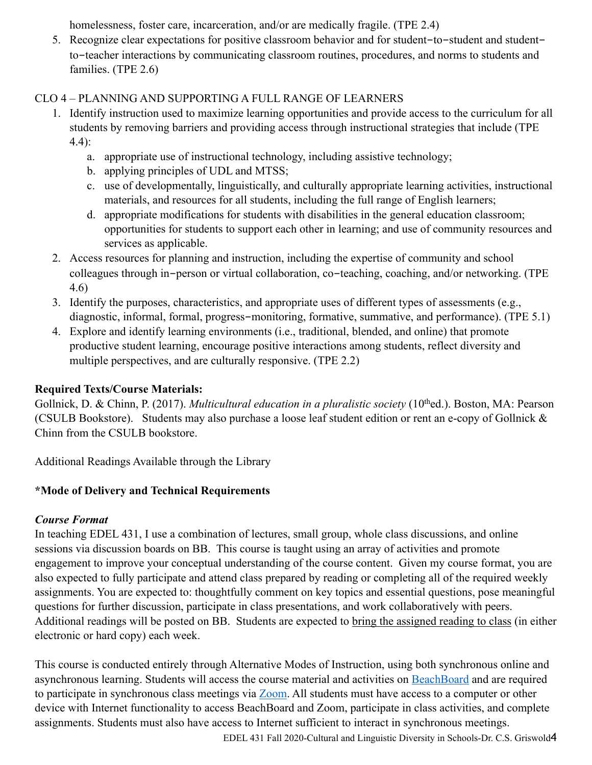homelessness, foster care, incarceration, and/or are medically fragile. (TPE 2.4)

5. Recognize clear expectations for positive classroom behavior and for student-to-student and studentto-teacher interactions by communicating classroom routines, procedures, and norms to students and families. (TPE 2.6)

## CLO 4 – PLANNING AND SUPPORTING A FULL RANGE OF LEARNERS

- 1. Identify instruction used to maximize learning opportunities and provide access to the curriculum for all students by removing barriers and providing access through instructional strategies that include (TPE 4.4):
	- a. appropriate use of instructional technology, including assistive technology;
	- b. applying principles of UDL and MTSS;
	- c. use of developmentally, linguistically, and culturally appropriate learning activities, instructional materials, and resources for all students, including the full range of English learners;
	- d. appropriate modifications for students with disabilities in the general education classroom; opportunities for students to support each other in learning; and use of community resources and services as applicable.
- 2. Access resources for planning and instruction, including the expertise of community and school colleagues through in-person or virtual collaboration, co-teaching, coaching, and/or networking. (TPE 4.6)
- 3. Identify the purposes, characteristics, and appropriate uses of different types of assessments (e.g., diagnostic, informal, formal, progress-monitoring, formative, summative, and performance). (TPE 5.1)
- 4. Explore and identify learning environments (i.e., traditional, blended, and online) that promote productive student learning, encourage positive interactions among students, reflect diversity and multiple perspectives, and are culturally responsive. (TPE 2.2)

## **Required Texts/Course Materials:**

Gollnick, D. & Chinn, P. (2017). *Multicultural education in a pluralistic society* (10<sup>th</sup>ed.). Boston, MA: Pearson (CSULB Bookstore). Students may also purchase a loose leaf student edition or rent an e-copy of Gollnick & Chinn from the CSULB bookstore.

Additional Readings Available through the Library

## **\*Mode of Delivery and Technical Requirements**

## *Course Format*

In teaching EDEL 431, I use a combination of lectures, small group, whole class discussions, and online sessions via discussion boards on BB. This course is taught using an array of activities and promote engagement to improve your conceptual understanding of the course content. Given my course format, you are also expected to fully participate and attend class prepared by reading or completing all of the required weekly assignments. You are expected to: thoughtfully comment on key topics and essential questions, pose meaningful questions for further discussion, participate in class presentations, and work collaboratively with peers. Additional readings will be posted on BB. Students are expected to bring the assigned reading to class (in either electronic or hard copy) each week.

This course is conducted entirely through Alternative Modes of Instruction, using both synchronous online and asynchronous learning. Students will access the course material and activities on [BeachBoard](https://bbcsulb.desire2learn.com/d2l/home) and are required to participate in synchronous class meetings via **Zoom**. All students must have access to a computer or other device with Internet functionality to access BeachBoard and Zoom, participate in class activities, and complete assignments. Students must also have access to Internet sufficient to interact in synchronous meetings.

EDEL 431 Fall 2020-Cultural and Linguistic Diversity in Schools-Dr. C.S. Griswold4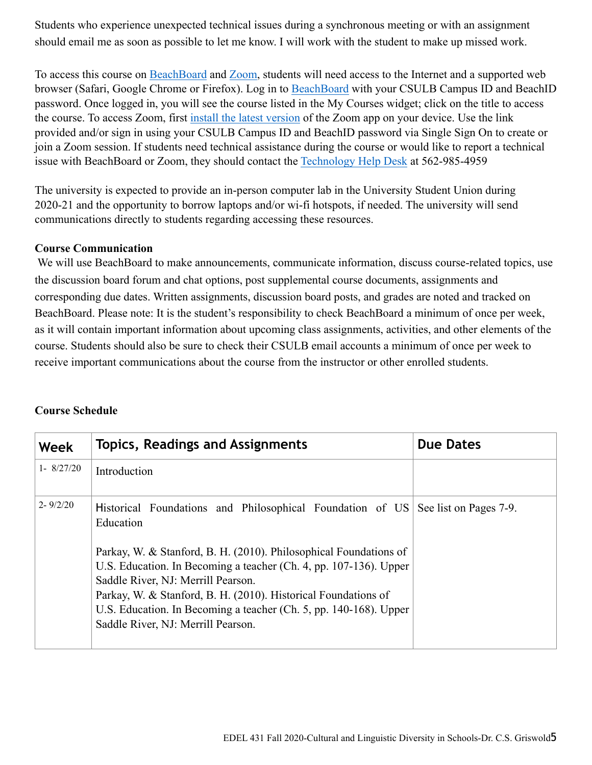Students who experience unexpected technical issues during a synchronous meeting or with an assignment should email me as soon as possible to let me know. I will work with the student to make up missed work.

To access this course on BeachBoard and [Zoom](https://csulb.zoom.us/meeting), students will need access to the Internet and a supported web browser (Safari, Google Chrome or Firefox). Log in to [BeachBoard](https://bbcsulb.desire2learn.com/) with your CSULB Campus ID and BeachID password. Once logged in, you will see the course listed in the My Courses widget; click on the title to access the course. To access Zoom, first [install the latest version](https://zoom.us/download) of the Zoom app on your device. Use the link provided and/or sign in using your CSULB Campus ID and BeachID password via Single Sign On to create or join a Zoom session. If students need technical assistance during the course or would like to report a technical issue with BeachBoard or Zoom, they should contact the [Technology Help Desk](https://www.csulb.edu/academic-technology-services/academic-technology-resources-for-students) at 562-985-4959

The university is expected to provide an in-person computer lab in the University Student Union during 2020-21 and the opportunity to borrow laptops and/or wi-fi hotspots, if needed. The university will send communications directly to students regarding accessing these resources.

#### **Course Communication**

We will use BeachBoard to make announcements, communicate information, discuss course-related topics, use the discussion board forum and chat options, post supplemental course documents, assignments and corresponding due dates. Written assignments, discussion board posts, and grades are noted and tracked on BeachBoard. Please note: It is the student's responsibility to check BeachBoard a minimum of once per week, as it will contain important information about upcoming class assignments, activities, and other elements of the course. Students should also be sure to check their CSULB email accounts a minimum of once per week to receive important communications about the course from the instructor or other enrolled students.

| Week                | <b>Topics, Readings and Assignments</b>                                                                                                                                                                                                                                                                                                                                                                                                                    | <b>Due Dates</b> |
|---------------------|------------------------------------------------------------------------------------------------------------------------------------------------------------------------------------------------------------------------------------------------------------------------------------------------------------------------------------------------------------------------------------------------------------------------------------------------------------|------------------|
| $1 - 8/27/20$       | Introduction                                                                                                                                                                                                                                                                                                                                                                                                                                               |                  |
| $2 - \frac{9}{2}20$ | Historical Foundations and Philosophical Foundation of US See list on Pages 7-9.<br>Education<br>Parkay, W. & Stanford, B. H. (2010). Philosophical Foundations of<br>U.S. Education. In Becoming a teacher (Ch. 4, pp. 107-136). Upper<br>Saddle River, NJ: Merrill Pearson.<br>Parkay, W. & Stanford, B. H. (2010). Historical Foundations of<br>U.S. Education. In Becoming a teacher (Ch. 5, pp. 140-168). Upper<br>Saddle River, NJ: Merrill Pearson. |                  |

#### **Course Schedule**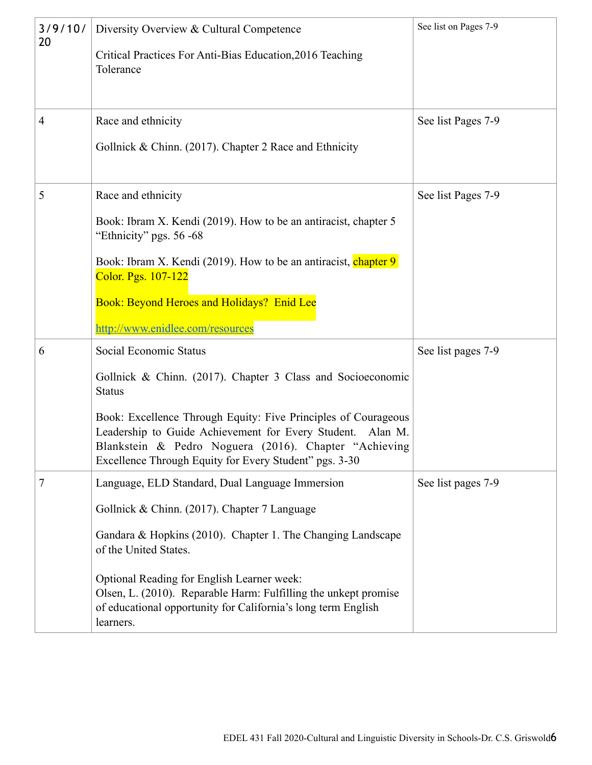| 3/9/10/<br>20 | Diversity Overview & Cultural Competence<br>Critical Practices For Anti-Bias Education, 2016 Teaching                                                                                                                                           | See list on Pages 7-9 |
|---------------|-------------------------------------------------------------------------------------------------------------------------------------------------------------------------------------------------------------------------------------------------|-----------------------|
|               | Tolerance                                                                                                                                                                                                                                       |                       |
| 4             | Race and ethnicity                                                                                                                                                                                                                              | See list Pages 7-9    |
|               | Gollnick & Chinn. (2017). Chapter 2 Race and Ethnicity                                                                                                                                                                                          |                       |
| 5             | Race and ethnicity                                                                                                                                                                                                                              | See list Pages 7-9    |
|               | Book: Ibram X. Kendi (2019). How to be an antiracist, chapter 5<br>"Ethnicity" pgs. 56 -68                                                                                                                                                      |                       |
|               | Book: Ibram X. Kendi (2019). How to be an antiracist, chapter 9<br>Color. Pgs. 107-122                                                                                                                                                          |                       |
|               | Book: Beyond Heroes and Holidays? Enid Lee                                                                                                                                                                                                      |                       |
|               | http://www.enidlee.com/resources                                                                                                                                                                                                                |                       |
| 6             | Social Economic Status                                                                                                                                                                                                                          | See list pages 7-9    |
|               | Gollnick & Chinn. (2017). Chapter 3 Class and Socioeconomic<br><b>Status</b>                                                                                                                                                                    |                       |
|               | Book: Excellence Through Equity: Five Principles of Courageous<br>Leadership to Guide Achievement for Every Student. Alan M.<br>Blankstein & Pedro Noguera (2016). Chapter "Achieving<br>Excellence Through Equity for Every Student" pgs. 3-30 |                       |
| 7             | Language, ELD Standard, Dual Language Immersion                                                                                                                                                                                                 | See list pages 7-9    |
|               | Gollnick & Chinn. (2017). Chapter 7 Language                                                                                                                                                                                                    |                       |
|               | Gandara & Hopkins (2010). Chapter 1. The Changing Landscape<br>of the United States.                                                                                                                                                            |                       |
|               | Optional Reading for English Learner week:<br>Olsen, L. (2010). Reparable Harm: Fulfilling the unkept promise<br>of educational opportunity for California's long term English<br>learners.                                                     |                       |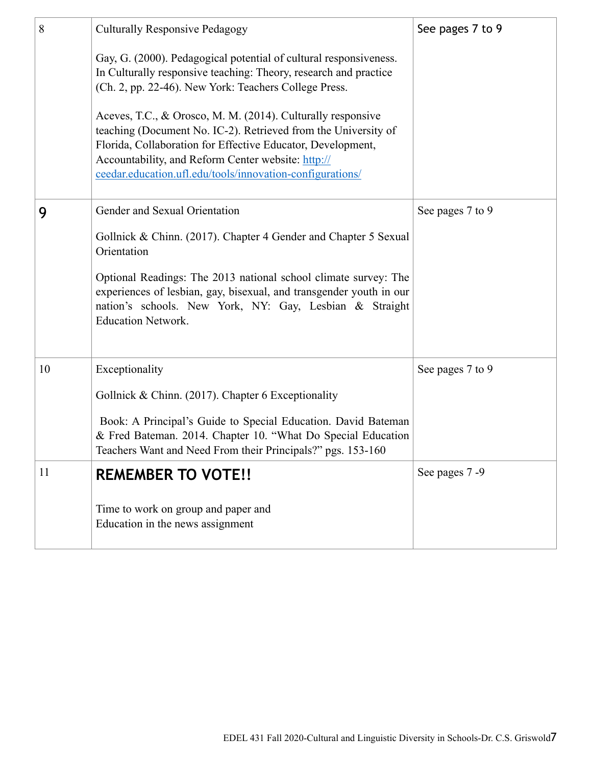| 8  | <b>Culturally Responsive Pedagogy</b>                                                                                                                                                                                                                                                                                                                                                                                                                                                                             | See pages 7 to 9 |
|----|-------------------------------------------------------------------------------------------------------------------------------------------------------------------------------------------------------------------------------------------------------------------------------------------------------------------------------------------------------------------------------------------------------------------------------------------------------------------------------------------------------------------|------------------|
|    | Gay, G. (2000). Pedagogical potential of cultural responsiveness.<br>In Culturally responsive teaching: Theory, research and practice<br>(Ch. 2, pp. 22-46). New York: Teachers College Press.<br>Aceves, T.C., & Orosco, M. M. (2014). Culturally responsive<br>teaching (Document No. IC-2). Retrieved from the University of<br>Florida, Collaboration for Effective Educator, Development,<br>Accountability, and Reform Center website: http://<br>ceedar.education.ufl.edu/tools/innovation-configurations/ |                  |
| 9  | Gender and Sexual Orientation                                                                                                                                                                                                                                                                                                                                                                                                                                                                                     | See pages 7 to 9 |
|    | Gollnick & Chinn. (2017). Chapter 4 Gender and Chapter 5 Sexual<br>Orientation                                                                                                                                                                                                                                                                                                                                                                                                                                    |                  |
|    | Optional Readings: The 2013 national school climate survey: The<br>experiences of lesbian, gay, bisexual, and transgender youth in our<br>nation's schools. New York, NY: Gay, Lesbian & Straight<br><b>Education Network.</b>                                                                                                                                                                                                                                                                                    |                  |
| 10 | Exceptionality                                                                                                                                                                                                                                                                                                                                                                                                                                                                                                    | See pages 7 to 9 |
|    | Gollnick & Chinn. (2017). Chapter 6 Exceptionality                                                                                                                                                                                                                                                                                                                                                                                                                                                                |                  |
|    | Book: A Principal's Guide to Special Education. David Bateman<br>& Fred Bateman. 2014. Chapter 10. "What Do Special Education<br>Teachers Want and Need From their Principals?" pgs. 153-160                                                                                                                                                                                                                                                                                                                      |                  |
| 11 | <b>REMEMBER TO VOTE!!</b>                                                                                                                                                                                                                                                                                                                                                                                                                                                                                         | See pages 7-9    |
|    | Time to work on group and paper and<br>Education in the news assignment                                                                                                                                                                                                                                                                                                                                                                                                                                           |                  |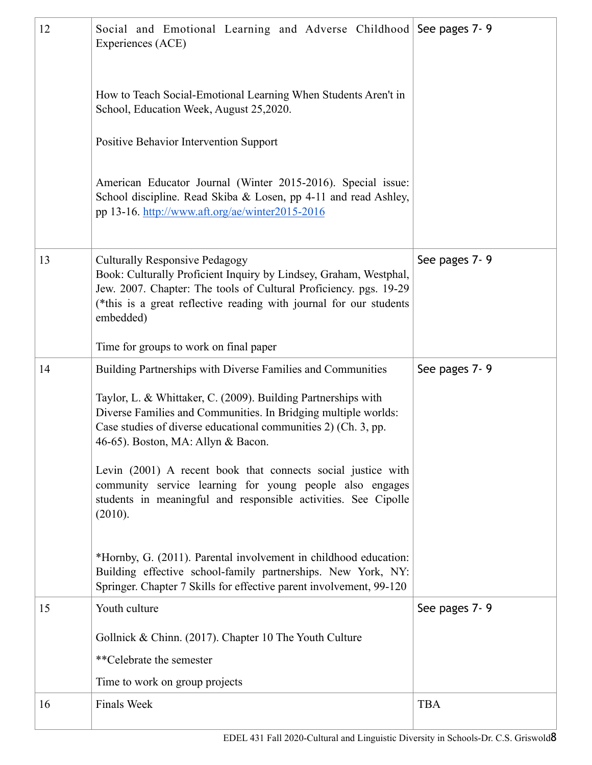| 12 | Social and Emotional Learning and Adverse Childhood See pages 7-9<br>Experiences (ACE)                                                                                                                                                                             |               |  |
|----|--------------------------------------------------------------------------------------------------------------------------------------------------------------------------------------------------------------------------------------------------------------------|---------------|--|
|    |                                                                                                                                                                                                                                                                    |               |  |
|    | How to Teach Social-Emotional Learning When Students Aren't in<br>School, Education Week, August 25,2020.                                                                                                                                                          |               |  |
|    | Positive Behavior Intervention Support                                                                                                                                                                                                                             |               |  |
|    | American Educator Journal (Winter 2015-2016). Special issue:<br>School discipline. Read Skiba & Losen, pp 4-11 and read Ashley,<br>pp 13-16. http://www.aft.org/ae/winter2015-2016                                                                                 |               |  |
| 13 | <b>Culturally Responsive Pedagogy</b><br>Book: Culturally Proficient Inquiry by Lindsey, Graham, Westphal,<br>Jew. 2007. Chapter: The tools of Cultural Proficiency. pgs. 19-29<br>(*this is a great reflective reading with journal for our students<br>embedded) | See pages 7-9 |  |
|    | Time for groups to work on final paper                                                                                                                                                                                                                             |               |  |
| 14 | Building Partnerships with Diverse Families and Communities                                                                                                                                                                                                        | See pages 7-9 |  |
|    | Taylor, L. & Whittaker, C. (2009). Building Partnerships with<br>Diverse Families and Communities. In Bridging multiple worlds:<br>Case studies of diverse educational communities 2) (Ch. 3, pp.<br>46-65). Boston, MA: Allyn & Bacon.                            |               |  |
|    | Levin (2001) A recent book that connects social justice with<br>community service learning for young people also engages<br>students in meaningful and responsible activities. See Cipolle<br>(2010).                                                              |               |  |
|    | *Hornby, G. (2011). Parental involvement in childhood education:<br>Building effective school-family partnerships. New York, NY:<br>Springer. Chapter 7 Skills for effective parent involvement, 99-120                                                            |               |  |
| 15 | Youth culture                                                                                                                                                                                                                                                      | See pages 7-9 |  |
|    | Gollnick & Chinn. (2017). Chapter 10 The Youth Culture                                                                                                                                                                                                             |               |  |
|    | **Celebrate the semester                                                                                                                                                                                                                                           |               |  |
|    | Time to work on group projects                                                                                                                                                                                                                                     |               |  |
| 16 | <b>Finals Week</b>                                                                                                                                                                                                                                                 | <b>TBA</b>    |  |
|    | EDEL 431 Fall 2020-Cultural and Linguistic Diversity in Schools-Dr. C.S. Griswold8                                                                                                                                                                                 |               |  |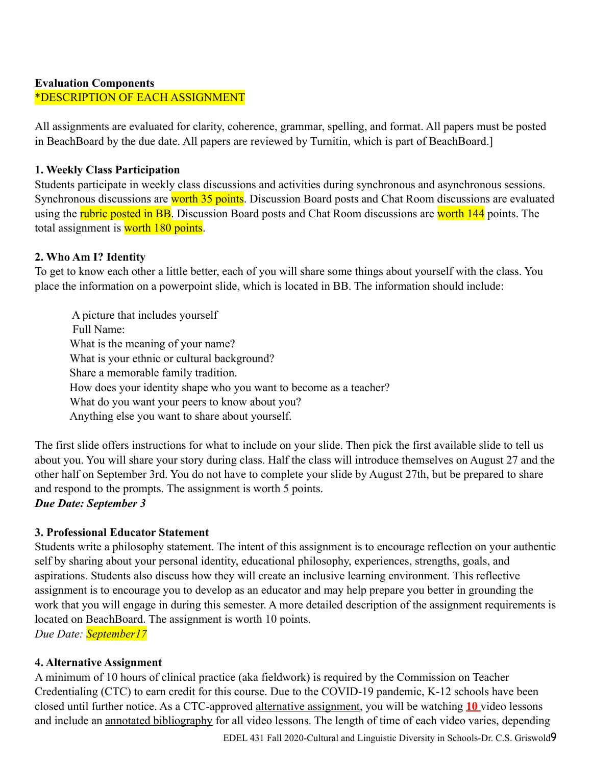## **Evaluation Components**  \*DESCRIPTION OF EACH ASSIGNMENT

All assignments are evaluated for clarity, coherence, grammar, spelling, and format. All papers must be posted in BeachBoard by the due date. All papers are reviewed by Turnitin, which is part of BeachBoard.]

#### **1. Weekly Class Participation**

Students participate in weekly class discussions and activities during synchronous and asynchronous sessions. Synchronous discussions are worth 35 points. Discussion Board posts and Chat Room discussions are evaluated using the rubric posted in BB. Discussion Board posts and Chat Room discussions are worth 144 points. The total assignment is worth 180 points.

#### **2. Who Am I? Identity**

To get to know each other a little better, each of you will share some things about yourself with the class. You place the information on a powerpoint slide, which is located in BB. The information should include:

 A picture that includes yourself Full Name: What is the meaning of your name? What is your ethnic or cultural background? Share a memorable family tradition. How does your identity shape who you want to become as a teacher? What do you want your peers to know about you? Anything else you want to share about yourself.

The first slide offers instructions for what to include on your slide. Then pick the first available slide to tell us about you. You will share your story during class. Half the class will introduce themselves on August 27 and the other half on September 3rd. You do not have to complete your slide by August 27th, but be prepared to share and respond to the prompts. The assignment is worth 5 points.

## *Due Date: September 3*

## **3. Professional Educator Statement**

Students write a philosophy statement. The intent of this assignment is to encourage reflection on your authentic self by sharing about your personal identity, educational philosophy, experiences, strengths, goals, and aspirations. Students also discuss how they will create an inclusive learning environment. This reflective assignment is to encourage you to develop as an educator and may help prepare you better in grounding the work that you will engage in during this semester. A more detailed description of the assignment requirements is located on BeachBoard. The assignment is worth 10 points. *Due Date: September17*

**4. Alternative Assignment** 

A minimum of 10 hours of clinical practice (aka fieldwork) is required by the Commission on Teacher Credentialing (CTC) to earn credit for this course. Due to the COVID-19 pandemic, K-12 schools have been closed until further notice. As a CTC-approved alternative assignment, you will be watching **10** video lessons and include an annotated bibliography for all video lessons. The length of time of each video varies, depending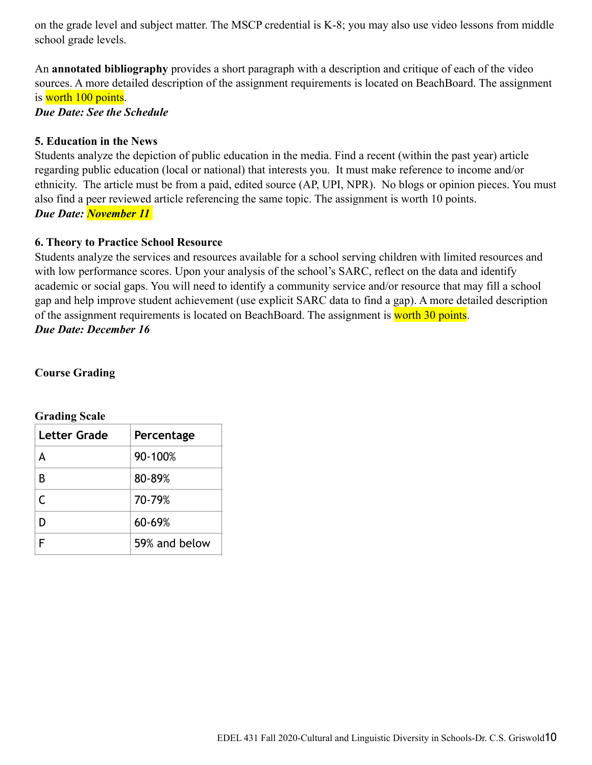on the grade level and subject matter. The MSCP credential is K-8; you may also use video lessons from middle school grade levels.

An **annotated bibliography** provides a short paragraph with a description and critique of each of the video sources. A more detailed description of the assignment requirements is located on BeachBoard. The assignment is worth 100 points.

*Due Date: See the Schedule* 

## **5. Education in the News**

Students analyze the depiction of public education in the media. Find a recent (within the past year) article regarding public education (local or national) that interests you. It must make reference to income and/or ethnicity. The article must be from a paid, edited source (AP, UPI, NPR). No blogs or opinion pieces. You must also find a peer reviewed article referencing the same topic. The assignment is worth 10 points. *Due Date: November 11* 

## **6. Theory to Practice School Resource**

Students analyze the services and resources available for a school serving children with limited resources and with low performance scores. Upon your analysis of the school's SARC, reflect on the data and identify academic or social gaps. You will need to identify a community service and/or resource that may fill a school gap and help improve student achievement (use explicit SARC data to find a gap). A more detailed description of the assignment requirements is located on BeachBoard. The assignment is worth 30 points. *Due Date: December 16*

## **Course Grading**

| <b>Letter Grade</b><br>Percentage |               |
|-----------------------------------|---------------|
| Δ                                 | 90-100%       |
| В                                 | 80-89%        |
| C                                 | 70-79%        |
|                                   | 60-69%        |
|                                   | 59% and below |

#### **Grading Scale**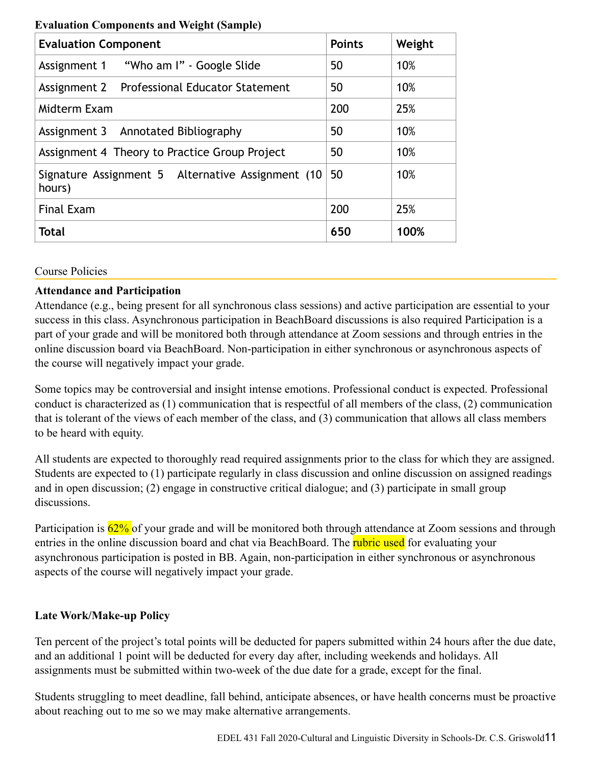| <b>Evaluation Component</b>                                 | <b>Points</b> | Weight |
|-------------------------------------------------------------|---------------|--------|
|                                                             | 50            | 10%    |
| Assignment 2 Professional Educator Statement                | 50            | 10%    |
| Midterm Exam                                                | 200           | 25%    |
| Assignment 3 Annotated Bibliography                         | 50            | 10%    |
| Assignment 4 Theory to Practice Group Project               | 50            | 10%    |
| Signature Assignment 5 Alternative Assignment (10<br>hours) | 50            | 10%    |
| <b>Final Exam</b>                                           | 200           | 25%    |
| <b>Total</b>                                                | 650           | 100%   |

#### **Evaluation Components and Weight (Sample)**

#### Course Policies

#### **Attendance and Participation**

Attendance (e.g., being present for all synchronous class sessions) and active participation are essential to your success in this class. Asynchronous participation in BeachBoard discussions is also required Participation is a part of your grade and will be monitored both through attendance at Zoom sessions and through entries in the online discussion board via BeachBoard. Non-participation in either synchronous or asynchronous aspects of the course will negatively impact your grade.

Some topics may be controversial and insight intense emotions. Professional conduct is expected. Professional conduct is characterized as (1) communication that is respectful of all members of the class, (2) communication that is tolerant of the views of each member of the class, and (3) communication that allows all class members to be heard with equity.

All students are expected to thoroughly read required assignments prior to the class for which they are assigned. Students are expected to (1) participate regularly in class discussion and online discussion on assigned readings and in open discussion; (2) engage in constructive critical dialogue; and (3) participate in small group discussions.

Participation is  $62\%$  of your grade and will be monitored both through attendance at Zoom sessions and through entries in the online discussion board and chat via BeachBoard. The **rubric used** for evaluating your asynchronous participation is posted in BB. Again, non-participation in either synchronous or asynchronous aspects of the course will negatively impact your grade.

#### **Late Work/Make-up Policy**

Ten percent of the project's total points will be deducted for papers submitted within 24 hours after the due date, and an additional 1 point will be deducted for every day after, including weekends and holidays. All assignments must be submitted within two-week of the due date for a grade, except for the final.

Students struggling to meet deadline, fall behind, anticipate absences, or have health concerns must be proactive about reaching out to me so we may make alternative arrangements.